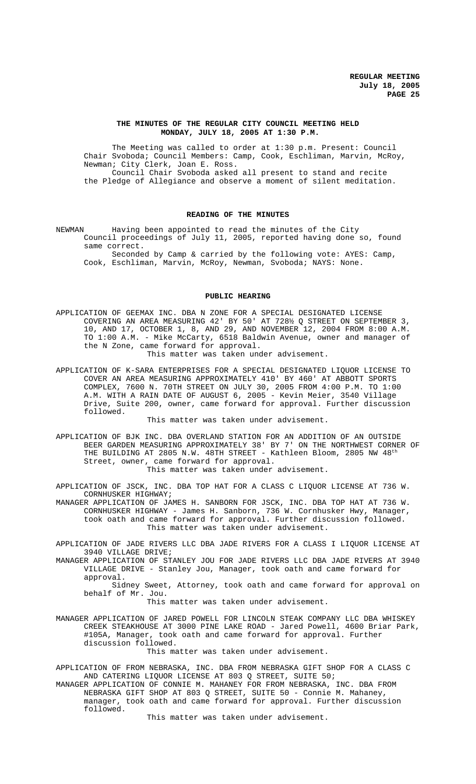## **THE MINUTES OF THE REGULAR CITY COUNCIL MEETING HELD MONDAY, JULY 18, 2005 AT 1:30 P.M.**

The Meeting was called to order at 1:30 p.m. Present: Council Chair Svoboda; Council Members: Camp, Cook, Eschliman, Marvin, McRoy, Newman; City Clerk, Joan E. Ross. Council Chair Svoboda asked all present to stand and recite the Pledge of Allegiance and observe a moment of silent meditation.

### **READING OF THE MINUTES**

NEWMAN Having been appointed to read the minutes of the City Council proceedings of July 11, 2005, reported having done so, found same correct. Seconded by Camp & carried by the following vote: AYES: Camp,

Cook, Eschliman, Marvin, McRoy, Newman, Svoboda; NAYS: None.

## **PUBLIC HEARING**

APPLICATION OF GEEMAX INC. DBA N ZONE FOR A SPECIAL DESIGNATED LICENSE COVERING AN AREA MEASURING 42' BY 50' AT 728½ Q STREET ON SEPTEMBER 3, 10, AND 17, OCTOBER 1, 8, AND 29, AND NOVEMBER 12, 2004 FROM 8:00 A.M. TO 1:00 A.M. - Mike McCarty, 6518 Baldwin Avenue, owner and manager of the N Zone, came forward for approval.

This matter was taken under advisement.

APPLICATION OF K-SARA ENTERPRISES FOR A SPECIAL DESIGNATED LIQUOR LICENSE TO COVER AN AREA MEASURING APPROXIMATELY 410' BY 460' AT ABBOTT SPORTS COMPLEX, 7600 N. 70TH STREET ON JULY 30, 2005 FROM 4:00 P.M. TO 1:00 A.M. WITH A RAIN DATE OF AUGUST 6, 2005 - Kevin Meier, 3540 Village Drive, Suite 200, owner, came forward for approval. Further discussion followed.

This matter was taken under advisement.

APPLICATION OF BJK INC. DBA OVERLAND STATION FOR AN ADDITION OF AN OUTSIDE BEER GARDEN MEASURING APPROXIMATELY 38' BY 7' ON THE NORTHWEST CORNER OF THE BUILDING AT 2805 N.W.  $48\texttt{TH}$  STREET - Kathleen Bloom, 2805 NW  $48^\texttt{th}$ Street, owner, came forward for approval.

This matter was taken under advisement.

APPLICATION OF JSCK, INC. DBA TOP HAT FOR A CLASS C LIQUOR LICENSE AT 736 W. CORNHUSKER HIGHWAY;

MANAGER APPLICATION OF JAMES H. SANBORN FOR JSCK, INC. DBA TOP HAT AT 736 W. CORNHUSKER HIGHWAY - James H. Sanborn, 736 W. Cornhusker Hwy, Manager, took oath and came forward for approval. Further discussion followed. This matter was taken under advisement.

APPLICATION OF JADE RIVERS LLC DBA JADE RIVERS FOR A CLASS I LIQUOR LICENSE AT 3940 VILLAGE DRIVE;

MANAGER APPLICATION OF STANLEY JOU FOR JADE RIVERS LLC DBA JADE RIVERS AT 3940 VILLAGE DRIVE - Stanley Jou, Manager, took oath and came forward for approval.

Sidney Sweet, Attorney, took oath and came forward for approval on behalf of Mr. Jou.

This matter was taken under advisement.

MANAGER APPLICATION OF JARED POWELL FOR LINCOLN STEAK COMPANY LLC DBA WHISKEY CREEK STEAKHOUSE AT 3000 PINE LAKE ROAD - Jared Powell, 4600 Briar Park, #105A, Manager, took oath and came forward for approval. Further discussion followed.

This matter was taken under advisement.

APPLICATION OF FROM NEBRASKA, INC. DBA FROM NEBRASKA GIFT SHOP FOR A CLASS C AND CATERING LIQUOR LICENSE AT 803 Q STREET, SUITE 50;

MANAGER APPLICATION OF CONNIE M. MAHANEY FOR FROM NEBRASKA, INC. DBA FROM NEBRASKA GIFT SHOP AT 803 Q STREET, SUITE 50 - Connie M. Mahaney, manager, took oath and came forward for approval. Further discussion followed.

This matter was taken under advisement.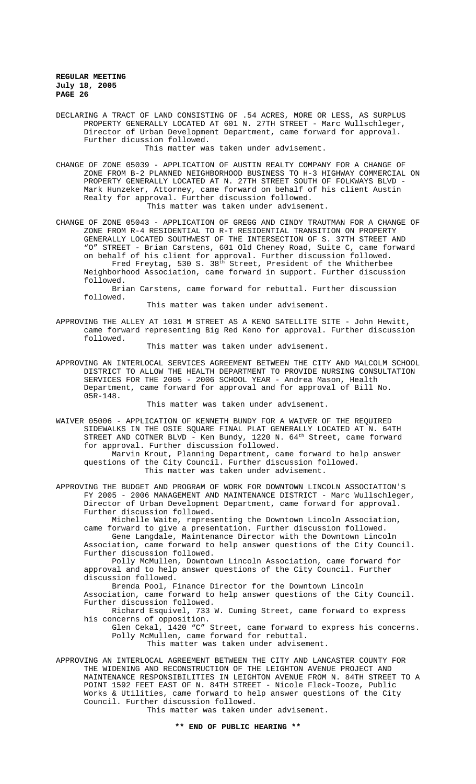DECLARING A TRACT OF LAND CONSISTING OF .54 ACRES, MORE OR LESS, AS SURPLUS PROPERTY GENERALLY LOCATED AT 601 N. 27TH STREET - Marc Wullschleger, Director of Urban Development Department, came forward for approval. Further dicussion followed.

This matter was taken under advisement.

CHANGE OF ZONE 05039 - APPLICATION OF AUSTIN REALTY COMPANY FOR A CHANGE OF ZONE FROM B-2 PLANNED NEIGHBORHOOD BUSINESS TO H-3 HIGHWAY COMMERCIAL ON PROPERTY GENERALLY LOCATED AT N. 27TH STREET SOUTH OF FOLKWAYS BLVD - Mark Hunzeker, Attorney, came forward on behalf of his client Austin Realty for approval. Further discussion followed. This matter was taken under advisement.

CHANGE OF ZONE 05043 - APPLICATION OF GREGG AND CINDY TRAUTMAN FOR A CHANGE OF ZONE FROM R-4 RESIDENTIAL TO R-T RESIDENTIAL TRANSITION ON PROPERTY GENERALLY LOCATED SOUTHWEST OF THE INTERSECTION OF S. 37TH STREET AND "O" STREET - Brian Carstens, 601 Old Cheney Road, Suite C, came forward on behalf of his client for approval. Further discussion followed. Fred Freytag, 530 S. 38th Street, President of the Whitherbee Neighborhood Association, came forward in support. Further discussion followed.

Brian Carstens, came forward for rebuttal. Further discussion followed.

This matter was taken under advisement.

APPROVING THE ALLEY AT 1031 M STREET AS A KENO SATELLITE SITE - John Hewitt, came forward representing Big Red Keno for approval. Further discussion followed.

This matter was taken under advisement.

APPROVING AN INTERLOCAL SERVICES AGREEMENT BETWEEN THE CITY AND MALCOLM SCHOOL DISTRICT TO ALLOW THE HEALTH DEPARTMENT TO PROVIDE NURSING CONSULTATION SERVICES FOR THE 2005 - 2006 SCHOOL YEAR - Andrea Mason, Health Department, came forward for approval and for approval of Bill No. 05R-148.

This matter was taken under advisement.

WAIVER 05006 - APPLICATION OF KENNETH BUNDY FOR A WAIVER OF THE REQUIRED SIDEWALKS IN THE OSIE SQUARE FINAL PLAT GENERALLY LOCATED AT N. 64TH STREET AND COTNER BLVD - Ken Bundy, 1220 N. 64<sup>th</sup> Street, came forward for approval. Further discussion followed.

Marvin Krout, Planning Department, came forward to help answer questions of the City Council. Further discussion followed. This matter was taken under advisement.

APPROVING THE BUDGET AND PROGRAM OF WORK FOR DOWNTOWN LINCOLN ASSOCIATION'S FY 2005 - 2006 MANAGEMENT AND MAINTENANCE DISTRICT - Marc Wullschleger, Director of Urban Development Department, came forward for approval. Further discussion followed.

Michelle Waite, representing the Downtown Lincoln Association, came forward to give a presentation. Further discussion followed.

Gene Langdale, Maintenance Director with the Downtown Lincoln Association, came forward to help answer questions of the City Council. Further discussion followed.

Polly McMullen, Downtown Lincoln Association, came forward for approval and to help answer questions of the City Council. Further discussion followed.

Brenda Pool, Finance Director for the Downtown Lincoln Association, came forward to help answer questions of the City Council. Further discussion followed.

Richard Esquivel, 733 W. Cuming Street, came forward to express his concerns of opposition.

Glen Cekal, 1420 "C" Street, came forward to express his concerns. Polly McMullen, came forward for rebuttal.

This matter was taken under advisement.

APPROVING AN INTERLOCAL AGREEMENT BETWEEN THE CITY AND LANCASTER COUNTY FOR THE WIDENING AND RECONSTRUCTION OF THE LEIGHTON AVENUE PROJECT AND MAINTENANCE RESPONSIBILITIES IN LEIGHTON AVENUE FROM N. 84TH STREET TO A POINT 1592 FEET EAST OF N. 84TH STREET - Nicole Fleck-Tooze, Public Works & Utilities, came forward to help answer questions of the City Council. Further discussion followed.

This matter was taken under advisement.

**\*\* END OF PUBLIC HEARING \*\***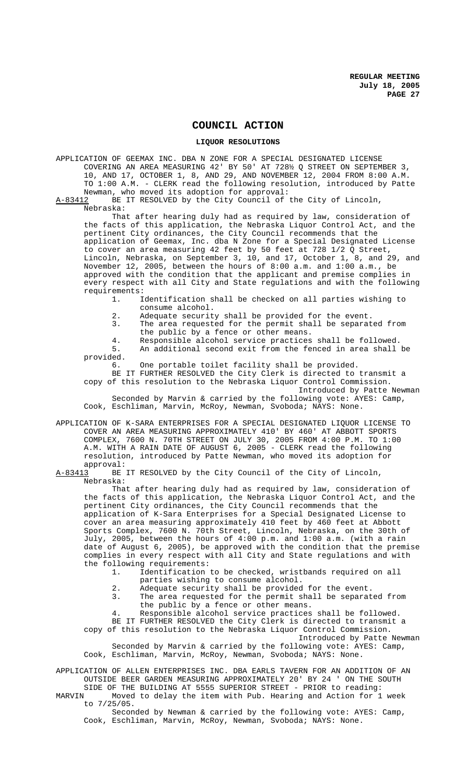# **COUNCIL ACTION**

## **LIQUOR RESOLUTIONS**

APPLICATION OF GEEMAX INC. DBA N ZONE FOR A SPECIAL DESIGNATED LICENSE COVERING AN AREA MEASURING 42' BY 50' AT 728½ Q STREET ON SEPTEMBER 3, 10, AND 17, OCTOBER 1, 8, AND 29, AND NOVEMBER 12, 2004 FROM 8:00 A.M. TO 1:00 A.M. - CLERK read the following resolution, introduced by Patte Newman, who moved its adoption for approval:

A-83412 BE IT RESOLVED by the City Council of the City of Lincoln, Nebraska:

That after hearing duly had as required by law, consideration of the facts of this application, the Nebraska Liquor Control Act, and the pertinent City ordinances, the City Council recommends that the application of Geemax, Inc. dba N Zone for a Special Designated License to cover an area measuring 42 feet by 50 feet at 728 1/2 Q Street, Lincoln, Nebraska, on September 3, 10, and 17, October 1, 8, and 29, and November 12, 2005, between the hours of 8:00 a.m. and 1:00 a.m., be approved with the condition that the applicant and premise complies in every respect with all City and State regulations and with the following requirements:

1. Identification shall be checked on all parties wishing to consume alcohol.

- 2. Adequate security shall be provided for the event.<br>3. The area requested for the permit shall be separat
- The area requested for the permit shall be separated from the public by a fence or other means.
- 4. Responsible alcohol service practices shall be followed. 5. An additional second exit from the fenced in area shall be

provided.<br>6.

One portable toilet facility shall be provided.

BE IT FURTHER RESOLVED the City Clerk is directed to transmit a copy of this resolution to the Nebraska Liquor Control Commission. Introduced by Patte Newman

Seconded by Marvin & carried by the following vote: AYES: Camp, Cook, Eschliman, Marvin, McRoy, Newman, Svoboda; NAYS: None.

APPLICATION OF K-SARA ENTERPRISES FOR A SPECIAL DESIGNATED LIQUOR LICENSE TO COVER AN AREA MEASURING APPROXIMATELY 410' BY 460' AT ABBOTT SPORTS COMPLEX, 7600 N. 70TH STREET ON JULY 30, 2005 FROM 4:00 P.M. TO 1:00 A.M. WITH A RAIN DATE OF AUGUST 6, 2005 - CLERK read the following resolution, introduced by Patte Newman, who moved its adoption for

approval:<br>A-83413 BE BE IT RESOLVED by the City Council of the City of Lincoln, Nebraska:

That after hearing duly had as required by law, consideration of the facts of this application, the Nebraska Liquor Control Act, and the pertinent City ordinances, the City Council recommends that the application of K-Sara Enterprises for a Special Designated License to cover an area measuring approximately 410 feet by 460 feet at Abbott Sports Complex, 7600 N. 70th Street, Lincoln, Nebraska, on the 30th of July, 2005, between the hours of 4:00 p.m. and 1:00 a.m. (with a rain date of August 6, 2005), be approved with the condition that the premise complies in every respect with all City and State regulations and with the following requirements:<br>1. Identification

- Identification to be checked, wristbands required on all parties wishing to consume alcohol.
- 2. Adequate security shall be provided for the event.
- 3. The area requested for the permit shall be separated from the public by a fence or other means.
- 

4. Responsible alcohol service practices shall be followed. BE IT FURTHER RESOLVED the City Clerk is directed to transmit a copy of this resolution to the Nebraska Liquor Control Commission.

Introduced by Patte Newman Seconded by Marvin & carried by the following vote: AYES: Camp, Cook, Eschliman, Marvin, McRoy, Newman, Svoboda; NAYS: None.

APPLICATION OF ALLEN ENTERPRISES INC. DBA EARLS TAVERN FOR AN ADDITION OF AN OUTSIDE BEER GARDEN MEASURING APPROXIMATELY 20' BY 24 ' ON THE SOUTH SIDE OF THE BUILDING AT 5555 SUPERIOR STREET - PRIOR to reading:<br>MARVIN Moved to delay the item with Pub. Hearing and Action for 1

Moved to delay the item with Pub. Hearing and Action for 1 week to 7/25/05.

Seconded by Newman & carried by the following vote: AYES: Camp, Cook, Eschliman, Marvin, McRoy, Newman, Svoboda; NAYS: None.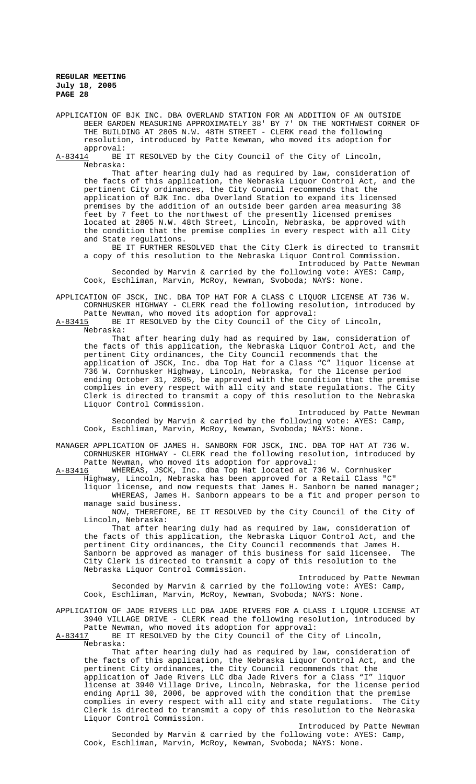APPLICATION OF BJK INC. DBA OVERLAND STATION FOR AN ADDITION OF AN OUTSIDE BEER GARDEN MEASURING APPROXIMATELY 38' BY 7' ON THE NORTHWEST CORNER OF THE BUILDING AT 2805 N.W. 48TH STREET - CLERK read the following resolution, introduced by Patte Newman, who moved its adoption for

approval:<br><u>A-83414</u> BE BE IT RESOLVED by the City Council of the City of Lincoln, Nebraska:

That after hearing duly had as required by law, consideration of the facts of this application, the Nebraska Liquor Control Act, and the pertinent City ordinances, the City Council recommends that the application of BJK Inc. dba Overland Station to expand its licensed premises by the addition of an outside beer garden area measuring 38 feet by 7 feet to the northwest of the presently licensed premises located at 2805 N.W. 48th Street, Lincoln, Nebraska, be approved with the condition that the premise complies in every respect with all City and State regulations.

BE IT FURTHER RESOLVED that the City Clerk is directed to transmit a copy of this resolution to the Nebraska Liquor Control Commission. Introduced by Patte Newman

Seconded by Marvin & carried by the following vote: AYES: Camp, Cook, Eschliman, Marvin, McRoy, Newman, Svoboda; NAYS: None.

APPLICATION OF JSCK, INC. DBA TOP HAT FOR A CLASS C LIQUOR LICENSE AT 736 W. CORNHUSKER HIGHWAY - CLERK read the following resolution, introduced by

Patte Newman, who moved its adoption for approval:<br>A-83415 BE IT RESOLVED by the City Council of the Ci BE IT RESOLVED by the City Council of the City of Lincoln, Nebraska:

That after hearing duly had as required by law, consideration of the facts of this application, the Nebraska Liquor Control Act, and the pertinent City ordinances, the City Council recommends that the application of JSCK, Inc. dba Top Hat for a Class "C" liquor license at 736 W. Cornhusker Highway, Lincoln, Nebraska, for the license period ending October 31, 2005, be approved with the condition that the premise complies in every respect with all city and state regulations. The City Clerk is directed to transmit a copy of this resolution to the Nebraska Liquor Control Commission.

Introduced by Patte Newman Seconded by Marvin & carried by the following vote: AYES: Camp, Cook, Eschliman, Marvin, McRoy, Newman, Svoboda; NAYS: None.

MANAGER APPLICATION OF JAMES H. SANBORN FOR JSCK, INC. DBA TOP HAT AT 736 W. CORNHUSKER HIGHWAY - CLERK read the following resolution, introduced by Patte Newman, who moved its adoption for approval:<br>A-83416 WHEREAS, JSCK, Inc. dba Top Hat located at 7

WHEREAS, JSCK, Inc. dba Top Hat located at 736 W. Cornhusker Highway, Lincoln, Nebraska has been approved for a Retail Class "C"

liquor license, and now requests that James H. Sanborn be named manager; WHEREAS, James H. Sanborn appears to be a fit and proper person to manage said business.

NOW, THEREFORE, BE IT RESOLVED by the City Council of the City of Lincoln, Nebraska:

That after hearing duly had as required by law, consideration of the facts of this application, the Nebraska Liquor Control Act, and the pertinent City ordinances, the City Council recommends that James H. Sanborn be approved as manager of this business for said licensee. The City Clerk is directed to transmit a copy of this resolution to the Nebraska Liquor Control Commission.

Introduced by Patte Newman Seconded by Marvin & carried by the following vote: AYES: Camp, Cook, Eschliman, Marvin, McRoy, Newman, Svoboda; NAYS: None.

# APPLICATION OF JADE RIVERS LLC DBA JADE RIVERS FOR A CLASS I LIQUOR LICENSE AT 3940 VILLAGE DRIVE - CLERK read the following resolution, introduced by

Patte Newman, who moved its adoption for approval:<br>A-83417 BE IT RESOLVED by the City Council of the Ci BE IT RESOLVED by the City Council of the City of Lincoln, Nebraska:

That after hearing duly had as required by law, consideration of the facts of this application, the Nebraska Liquor Control Act, and the pertinent City ordinances, the City Council recommends that the application of Jade Rivers LLC dba Jade Rivers for a Class "I" liquor license at 3940 Village Drive, Lincoln, Nebraska, for the license period ending April 30, 2006, be approved with the condition that the premise complies in every respect with all city and state regulations. The City Clerk is directed to transmit a copy of this resolution to the Nebraska Liquor Control Commission.

Introduced by Patte Newman Seconded by Marvin & carried by the following vote: AYES: Camp, Cook, Eschliman, Marvin, McRoy, Newman, Svoboda; NAYS: None.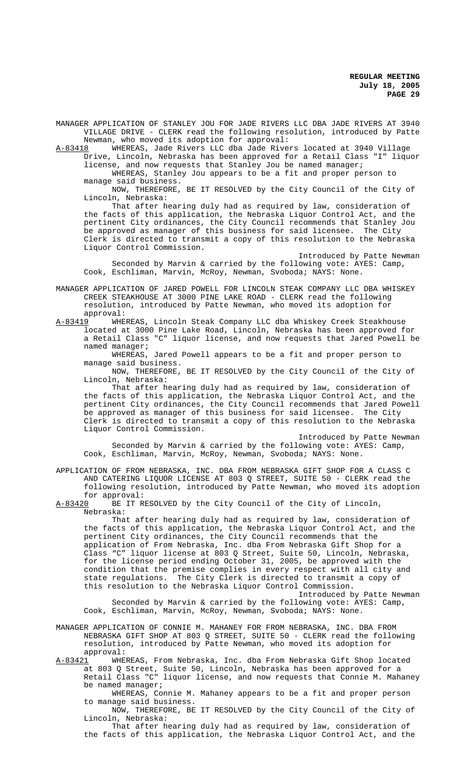MANAGER APPLICATION OF STANLEY JOU FOR JADE RIVERS LLC DBA JADE RIVERS AT 3940 VILLAGE DRIVE - CLERK read the following resolution, introduced by Patte Newman, who moved its adoption for approval:<br>A-83418 WHEREAS, Jade Rivers LLC dba Jade River

WHEREAS, Jade Rivers LLC dba Jade Rivers located at 3940 Village Drive, Lincoln, Nebraska has been approved for a Retail Class "I" liquor license, and now requests that Stanley Jou be named manager;

WHEREAS, Stanley Jou appears to be a fit and proper person to manage said business.

NOW, THEREFORE, BE IT RESOLVED by the City Council of the City of Lincoln, Nebraska:

That after hearing duly had as required by law, consideration of the facts of this application, the Nebraska Liquor Control Act, and the pertinent City ordinances, the City Council recommends that Stanley Jou be approved as manager of this business for said licensee. The City Clerk is directed to transmit a copy of this resolution to the Nebraska Liquor Control Commission.

Introduced by Patte Newman Seconded by Marvin & carried by the following vote: AYES: Camp, Cook, Eschliman, Marvin, McRoy, Newman, Svoboda; NAYS: None.

MANAGER APPLICATION OF JARED POWELL FOR LINCOLN STEAK COMPANY LLC DBA WHISKEY CREEK STEAKHOUSE AT 3000 PINE LAKE ROAD - CLERK read the following resolution, introduced by Patte Newman, who moved its adoption for approval:<br>A-83419 WHE

WHEREAS, Lincoln Steak Company LLC dba Whiskey Creek Steakhouse located at 3000 Pine Lake Road, Lincoln, Nebraska has been approved for a Retail Class "C" liquor license, and now requests that Jared Powell be named manager;

WHEREAS, Jared Powell appears to be a fit and proper person to manage said business.

NOW, THEREFORE, BE IT RESOLVED by the City Council of the City of Lincoln, Nebraska:

That after hearing duly had as required by law, consideration of the facts of this application, the Nebraska Liquor Control Act, and the pertinent City ordinances, the City Council recommends that Jared Powell be approved as manager of this business for said licensee. The City Clerk is directed to transmit a copy of this resolution to the Nebraska Liquor Control Commission.

Introduced by Patte Newman Seconded by Marvin & carried by the following vote: AYES: Camp, Cook, Eschliman, Marvin, McRoy, Newman, Svoboda; NAYS: None.

APPLICATION OF FROM NEBRASKA, INC. DBA FROM NEBRASKA GIFT SHOP FOR A CLASS C AND CATERING LIQUOR LICENSE AT 803 Q STREET, SUITE 50 - CLERK read the following resolution, introduced by Patte Newman, who moved its adoption for approval:

A-83420 BE IT RESOLVED by the City Council of the City of Lincoln, Nebraska:

That after hearing duly had as required by law, consideration of the facts of this application, the Nebraska Liquor Control Act, and the pertinent City ordinances, the City Council recommends that the application of From Nebraska, Inc. dba From Nebraska Gift Shop for a Class "C" liquor license at 803 Q Street, Suite 50, Lincoln, Nebraska, for the license period ending October 31, 2005, be approved with the condition that the premise complies in every respect with all city and state regulations. The City Clerk is directed to transmit a copy of this resolution to the Nebraska Liquor Control Commission.

Introduced by Patte Newman Seconded by Marvin & carried by the following vote: AYES: Camp, Cook, Eschliman, Marvin, McRoy, Newman, Svoboda; NAYS: None.

MANAGER APPLICATION OF CONNIE M. MAHANEY FOR FROM NEBRASKA, INC. DBA FROM NEBRASKA GIFT SHOP AT 803 Q STREET, SUITE 50 - CLERK read the following resolution, introduced by Patte Newman, who moved its adoption for approval:

A-83421 WHEREAS, From Nebraska, Inc. dba From Nebraska Gift Shop located at 803 Q Street, Suite 50, Lincoln, Nebraska has been approved for a Retail Class "C" liquor license, and now requests that Connie M. Mahaney be named manager;

WHEREAS, Connie M. Mahaney appears to be a fit and proper person to manage said business.

NOW, THEREFORE, BE IT RESOLVED by the City Council of the City of Lincoln, Nebraska:

That after hearing duly had as required by law, consideration of the facts of this application, the Nebraska Liquor Control Act, and the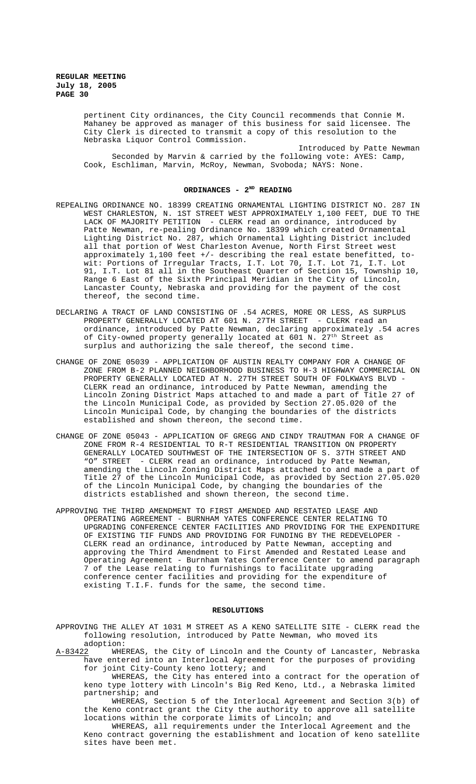pertinent City ordinances, the City Council recommends that Connie M. Mahaney be approved as manager of this business for said licensee. The Mandiney be deproted to the mander of this resolution to the Nebraska Liquor Control Commission.

Introduced by Patte Newman Seconded by Marvin & carried by the following vote: AYES: Camp, Cook, Eschliman, Marvin, McRoy, Newman, Svoboda; NAYS: None.

# ORDINANCES - 2<sup>ND</sup> READING

- REPEALING ORDINANCE NO. 18399 CREATING ORNAMENTAL LIGHTING DISTRICT NO. 287 IN WEST CHARLESTON, N. 1ST STREET WEST APPROXIMATELY 1,100 FEET, DUE TO THE LACK OF MAJORITY PETITION - CLERK read an ordinance, introduced by Patte Newman, re-pealing Ordinance No. 18399 which created Ornamental Lighting District No. 287, which Ornamental Lighting District included all that portion of West Charleston Avenue, North First Street west approximately 1,100 feet +/- describing the real estate benefitted, towit: Portions of Irregular Tracts, I.T. Lot 70, I.T. Lot 71, I.T. Lot 91, I.T. Lot 81 all in the Southeast Quarter of Section 15, Township 10, Range 6 East of the Sixth Principal Meridian in the City of Lincoln, Lancaster County, Nebraska and providing for the payment of the cost thereof, the second time.
- DECLARING A TRACT OF LAND CONSISTING OF .54 ACRES, MORE OR LESS, AS SURPLUS PROPERTY GENERALLY LOCATED AT 601 N. 27TH STREET - CLERK read an ordinance, introduced by Patte Newman, declaring approximately .54 acres of City-owned property generally located at 601 N. 27<sup>th</sup> Street as surplus and authorizing the sale thereof, the second time.
- CHANGE OF ZONE 05039 APPLICATION OF AUSTIN REALTY COMPANY FOR A CHANGE OF ZONE FROM B-2 PLANNED NEIGHBORHOOD BUSINESS TO H-3 HIGHWAY COMMERCIAL ON PROPERTY GENERALLY LOCATED AT N. 27TH STREET SOUTH OF FOLKWAYS BLVD - CLERK read an ordinance, introduced by Patte Newman, amending the Lincoln Zoning District Maps attached to and made a part of Title 27 of the Lincoln Municipal Code, as provided by Section 27.05.020 of the Lincoln Municipal Code, by changing the boundaries of the districts established and shown thereon, the second time.
- CHANGE OF ZONE 05043 APPLICATION OF GREGG AND CINDY TRAUTMAN FOR A CHANGE OF ZONE FROM R-4 RESIDENTIAL TO R-T RESIDENTIAL TRANSITION ON PROPERTY GENERALLY LOCATED SOUTHWEST OF THE INTERSECTION OF S. 37TH STREET AND "O" STREET - CLERK read an ordinance, introduced by Patte Newman, amending the Lincoln Zoning District Maps attached to and made a part of Title 27 of the Lincoln Municipal Code, as provided by Section 27.05.020 of the Lincoln Municipal Code, by changing the boundaries of the districts established and shown thereon, the second time.
- APPROVING THE THIRD AMENDMENT TO FIRST AMENDED AND RESTATED LEASE AND OPERATING AGREEMENT - BURNHAM YATES CONFERENCE CENTER RELATING TO UPGRADING CONFERENCE CENTER FACILITIES AND PROVIDING FOR THE EXPENDITURE OF EXISTING TIF FUNDS AND PROVIDING FOR FUNDING BY THE REDEVELOPER -CLERK read an ordinance, introduced by Patte Newman, accepting and approving the Third Amendment to First Amended and Restated Lease and Operating Agreement - Burnham Yates Conference Center to amend paragraph 7 of the Lease relating to furnishings to facilitate upgrading conference center facilities and providing for the expenditure of existing T.I.F. funds for the same, the second time.

#### **RESOLUTIONS**

APPROVING THE ALLEY AT 1031 M STREET AS A KENO SATELLITE SITE - CLERK read the following resolution, introduced by Patte Newman, who moved its adoption:

A-83422 WHEREAS, the City of Lincoln and the County of Lancaster, Nebraska have entered into an Interlocal Agreement for the purposes of providing for joint City-County keno lottery; and

WHEREAS, the City has entered into a contract for the operation of keno type lottery with Lincoln's Big Red Keno, Ltd., a Nebraska limited partnership; and

WHEREAS, Section 5 of the Interlocal Agreement and Section 3(b) of the Keno contract grant the City the authority to approve all satellite locations within the corporate limits of Lincoln; and

WHEREAS, all requirements under the Interlocal Agreement and the Keno contract governing the establishment and location of keno satellite sites have been met.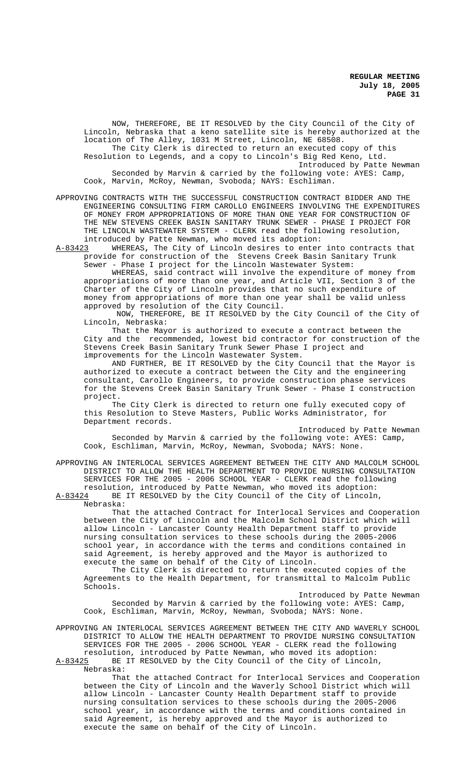NOW, THEREFORE, BE IT RESOLVED by the City Council of the City of Lincoln, Nebraska that a keno satellite site is hereby authorized at the location of The Alley, 1031 M Street, Lincoln, NE 68508. The City Clerk is directed to return an executed copy of this

Resolution to Legends, and a copy to Lincoln's Big Red Keno, Ltd. Introduced by Patte Newman

Seconded by Marvin & carried by the following vote: AYES: Camp, Cook, Marvin, McRoy, Newman, Svoboda; NAYS: Eschliman.

APPROVING CONTRACTS WITH THE SUCCESSFUL CONSTRUCTION CONTRACT BIDDER AND THE ENGINEERING CONSULTING FIRM CAROLLO ENGINEERS INVOLVING THE EXPENDITURES OF MONEY FROM APPROPRIATIONS OF MORE THAN ONE YEAR FOR CONSTRUCTION OF THE NEW STEVENS CREEK BASIN SANITARY TRUNK SEWER - PHASE I PROJECT FOR THE LINCOLN WASTEWATER SYSTEM - CLERK read the following resolution, introduced by Patte Newman, who moved its adoption:

A-83423 WHEREAS**,** The City of Lincoln desires to enter into contracts that provide for construction of the Stevens Creek Basin Sanitary Trunk

Sewer - Phase I project for the Lincoln Wastewater System: WHEREAS, said contract will involve the expenditure of money from appropriations of more than one year, and Article VII, Section 3 of the Charter of the City of Lincoln provides that no such expenditure of money from appropriations of more than one year shall be valid unless approved by resolution of the City Council.

 NOW, THEREFORE, BE IT RESOLVED by the City Council of the City of Lincoln, Nebraska:

That the Mayor is authorized to execute a contract between the City and the recommended, lowest bid contractor for construction of the Stevens Creek Basin Sanitary Trunk Sewer Phase I project and improvements for the Lincoln Wastewater System.

AND FURTHER, BE IT RESOLVED by the City Council that the Mayor is authorized to execute a contract between the City and the engineering consultant, Carollo Engineers, to provide construction phase services for the Stevens Creek Basin Sanitary Trunk Sewer - Phase I construction project.

The City Clerk is directed to return one fully executed copy of this Resolution to Steve Masters, Public Works Administrator, for Department records.

Introduced by Patte Newman Seconded by Marvin & carried by the following vote: AYES: Camp, Cook, Eschliman, Marvin, McRoy, Newman, Svoboda; NAYS: None.

APPROVING AN INTERLOCAL SERVICES AGREEMENT BETWEEN THE CITY AND MALCOLM SCHOOL DISTRICT TO ALLOW THE HEALTH DEPARTMENT TO PROVIDE NURSING CONSULTATION SERVICES FOR THE 2005 - 2006 SCHOOL YEAR - CLERK read the following resolution, introduced by Patte Newman, who moved its adoption:<br>A-83424 BE IT RESOLVED by the City Council of the City of Lincoln

BE IT RESOLVED by the City Council of the City of Lincoln, Nebraska:

That the attached Contract for Interlocal Services and Cooperation between the City of Lincoln and the Malcolm School District which will allow Lincoln - Lancaster County Health Department staff to provide nursing consultation services to these schools during the 2005-2006 school year, in accordance with the terms and conditions contained in said Agreement, is hereby approved and the Mayor is authorized to execute the same on behalf of the City of Lincoln.

The City Clerk is directed to return the executed copies of the Agreements to the Health Department, for transmittal to Malcolm Public Schools.

Introduced by Patte Newman Seconded by Marvin & carried by the following vote: AYES: Camp, Cook, Eschliman, Marvin, McRoy, Newman, Svoboda; NAYS: None.

APPROVING AN INTERLOCAL SERVICES AGREEMENT BETWEEN THE CITY AND WAVERLY SCHOOL DISTRICT TO ALLOW THE HEALTH DEPARTMENT TO PROVIDE NURSING CONSULTATION SERVICES FOR THE 2005 - 2006 SCHOOL YEAR - CLERK read the following resolution, introduced by Patte Newman, who moved its adoption:

A-83425 BE IT RESOLVED by the City Council of the City of Lincoln, Nebraska:

That the attached Contract for Interlocal Services and Cooperation between the City of Lincoln and the Waverly School District which will allow Lincoln - Lancaster County Health Department staff to provide nursing consultation services to these schools during the 2005-2006 school year, in accordance with the terms and conditions contained in said Agreement, is hereby approved and the Mayor is authorized to execute the same on behalf of the City of Lincoln.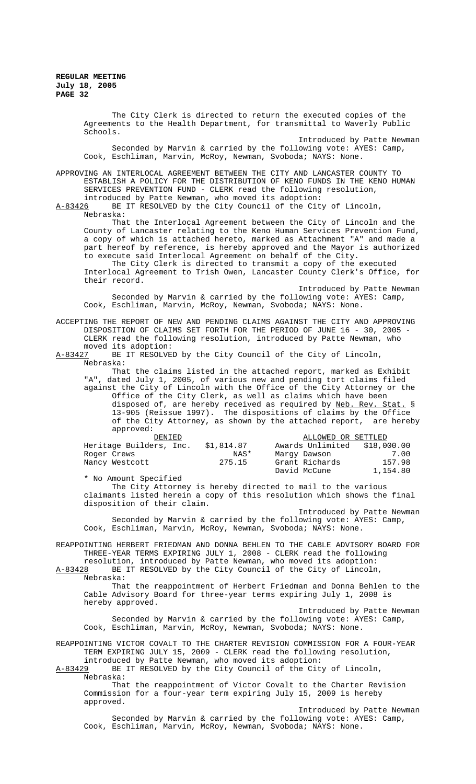The City Clerk is directed to return the executed copies of the Agreements to the Health Department, for transmittal to Waverly Public Schools.

Introduced by Patte Newman Seconded by Marvin & carried by the following vote: AYES: Camp, Cook, Eschliman, Marvin, McRoy, Newman, Svoboda; NAYS: None.

APPROVING AN INTERLOCAL AGREEMENT BETWEEN THE CITY AND LANCASTER COUNTY TO ESTABLISH A POLICY FOR THE DISTRIBUTION OF KENO FUNDS IN THE KENO HUMAN SERVICES PREVENTION FUND - CLERK read the following resolution,

introduced by Patte Newman, who moved its adoption:<br>A-83426 BE IT RESOLVED by the City Council of the Cit BE IT RESOLVED by the City Council of the City of Lincoln, Nebraska:

That the Interlocal Agreement between the City of Lincoln and the County of Lancaster relating to the Keno Human Services Prevention Fund, a copy of which is attached hereto, marked as Attachment "A" and made a part hereof by reference, is hereby approved and the Mayor is authorized to execute said Interlocal Agreement on behalf of the City.

 The City Clerk is directed to transmit a copy of the executed Interlocal Agreement to Trish Owen, Lancaster County Clerk's Office, for their record.

Introduced by Patte Newman Seconded by Marvin & carried by the following vote: AYES: Camp, Cook, Eschliman, Marvin, McRoy, Newman, Svoboda; NAYS: None.

ACCEPTING THE REPORT OF NEW AND PENDING CLAIMS AGAINST THE CITY AND APPROVING DISPOSITION OF CLAIMS SET FORTH FOR THE PERIOD OF JUNE 16 - 30, 2005 - CLERK read the following resolution, introduced by Patte Newman, who moved its adoption:<br>A-83427 BE IT RESOLVED

BE IT RESOLVED by the City Council of the City of Lincoln, Nebraska:

That the claims listed in the attached report, marked as Exhibit "A", dated July 1, 2005, of various new and pending tort claims filed against the City of Lincoln with the Office of the City Attorney or the Office of the City Clerk, as well as claims which have been disposed of, are hereby received as required by <u>Neb. Rev. Stat.</u> § 13-905 (Reissue 1997). The dispositions of claims by the Office of the City Attorney, as shown by the attached report, are hereby approved:

| DENIED                  |            | ALLOWED OR SETTLED           |          |
|-------------------------|------------|------------------------------|----------|
|                         |            |                              |          |
| Heritage Builders, Inc. | \$1,814.87 | Awards Unlimited \$18,000.00 |          |
| Roger Crews             | NAS*       | Marqy Dawson                 | 7.00     |
| Nancy Westcott          | 275.15     | Grant Richards               | 157.98   |
|                         |            | David McCune                 | 1,154.80 |

\* No Amount Specified

The City Attorney is hereby directed to mail to the various claimants listed herein a copy of this resolution which shows the final disposition of their claim.

Introduced by Patte Newman Seconded by Marvin & carried by the following vote: AYES: Camp, Cook, Eschliman, Marvin, McRoy, Newman, Svoboda; NAYS: None.

REAPPOINTING HERBERT FRIEDMAN AND DONNA BEHLEN TO THE CABLE ADVISORY BOARD FOR THREE-YEAR TERMS EXPIRING JULY 1, 2008 - CLERK read the following resolution, introduced by Patte Newman, who moved its adoption:<br>A-83428 BE IT RESOLVED by the City Council of the City of Lincoln

BE IT RESOLVED by the City Council of the City of Lincoln, Nebraska:

That the reappointment of Herbert Friedman and Donna Behlen to the Cable Advisory Board for three-year terms expiring July 1, 2008 is hereby approved.

Introduced by Patte Newman Seconded by Marvin & carried by the following vote: AYES: Camp, Cook, Eschliman, Marvin, McRoy, Newman, Svoboda; NAYS: None.

REAPPOINTING VICTOR COVALT TO THE CHARTER REVISION COMMISSION FOR A FOUR-YEAR TERM EXPIRING JULY 15, 2009 - CLERK read the following resolution,

introduced by Patte Newman, who moved its adoption:<br>A-83429 BE IT RESOLVED by the City Council of the City BE IT RESOLVED by the City Council of the City of Lincoln, Nebraska:

That the reappointment of Victor Covalt to the Charter Revision Commission for a four-year term expiring July 15, 2009 is hereby approved.

Introduced by Patte Newman Seconded by Marvin & carried by the following vote: AYES: Camp, Cook, Eschliman, Marvin, McRoy, Newman, Svoboda; NAYS: None.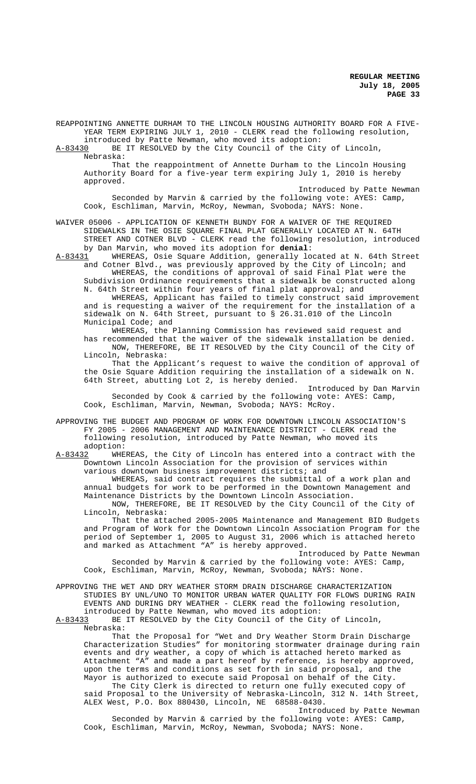REAPPOINTING ANNETTE DURHAM TO THE LINCOLN HOUSING AUTHORITY BOARD FOR A FIVE-YEAR TERM EXPIRING JULY 1, 2010 - CLERK read the following resolution, introduced by Patte Newman, who moved its adoption:

A-83430 BE IT RESOLVED by the City Council of the City of Lincoln, Nebraska:

That the reappointment of Annette Durham to the Lincoln Housing Authority Board for a five-year term expiring July 1, 2010 is hereby approved.

Introduced by Patte Newman Seconded by Marvin & carried by the following vote: AYES: Camp, Cook, Eschliman, Marvin, McRoy, Newman, Svoboda; NAYS: None.

WAIVER 05006 - APPLICATION OF KENNETH BUNDY FOR A WAIVER OF THE REQUIRED SIDEWALKS IN THE OSIE SQUARE FINAL PLAT GENERALLY LOCATED AT N. 64TH STREET AND COTNER BLVD - CLERK read the following resolution, introduced by Dan Marvin, who moved its adoption for **denial**:

A-83431 WHEREAS, Osie Square Addition, generally located at N. 64th Street and Cotner Blvd., was previously approved by the City of Lincoln; and WHEREAS, the conditions of approval of said Final Plat were the

Subdivision Ordinance requirements that a sidewalk be constructed along N. 64th Street within four years of final plat approval; and WHEREAS, Applicant has failed to timely construct said improvement

and is requesting a waiver of the requirement for the installation of a sidewalk on N. 64th Street, pursuant to § 26.31.010 of the Lincoln Municipal Code; and

WHEREAS, the Planning Commission has reviewed said request and has recommended that the waiver of the sidewalk installation be denied.

NOW, THEREFORE, BE IT RESOLVED by the City Council of the City of Lincoln, Nebraska: That the Applicant's request to waive the condition of approval of

the Osie Square Addition requiring the installation of a sidewalk on N. 64th Street, abutting Lot 2, is hereby denied.

Introduced by Dan Marvin Seconded by Cook & carried by the following vote: AYES: Camp, Cook, Eschliman, Marvin, Newman, Svoboda; NAYS: McRoy.

APPROVING THE BUDGET AND PROGRAM OF WORK FOR DOWNTOWN LINCOLN ASSOCIATION'S FY 2005 - 2006 MANAGEMENT AND MAINTENANCE DISTRICT - CLERK read the following resolution, introduced by Patte Newman, who moved its adoption:

A-83432 WHEREAS, the City of Lincoln has entered into a contract with the Downtown Lincoln Association for the provision of services within various downtown business improvement districts; and

WHEREAS, said contract requires the submittal of a work plan and annual budgets for work to be performed in the Downtown Management and Maintenance Districts by the Downtown Lincoln Association.

NOW, THEREFORE, BE IT RESOLVED by the City Council of the City of Lincoln, Nebraska:

That the attached 2005-2005 Maintenance and Management BID Budgets and Program of Work for the Downtown Lincoln Association Program for the period of September 1, 2005 to August 31, 2006 which is attached hereto and marked as Attachment "A" is hereby approved.

Introduced by Patte Newman Seconded by Marvin & carried by the following vote: AYES: Camp, Cook, Eschliman, Marvin, McRoy, Newman, Svoboda; NAYS: None.

APPROVING THE WET AND DRY WEATHER STORM DRAIN DISCHARGE CHARACTERIZATION STUDIES BY UNL/UNO TO MONITOR URBAN WATER QUALITY FOR FLOWS DURING RAIN EVENTS AND DURING DRY WEATHER - CLERK read the following resolution,

introduced by Patte Newman, who moved its adoption:<br>A-83433 BE IT RESOLVED by the City Council of the Cit BE IT RESOLVED by the City Council of the City of Lincoln, Nebraska:

That the Proposal for "Wet and Dry Weather Storm Drain Discharge Characterization Studies" for monitoring stormwater drainage during rain events and dry weather, a copy of which is attached hereto marked as Attachment "A" and made a part hereof by reference, is hereby approved, upon the terms and conditions as set forth in said proposal, and the Mayor is authorized to execute said Proposal on behalf of the City. The City Clerk is directed to return one fully executed copy of

said Proposal to the University of Nebraska-Lincoln, 312 N. 14th Street, ALEX West, P.O. Box 880430, Lincoln, NE 68588-0430.

Introduced by Patte Newman Seconded by Marvin & carried by the following vote: AYES: Camp, Cook, Eschliman, Marvin, McRoy, Newman, Svoboda; NAYS: None.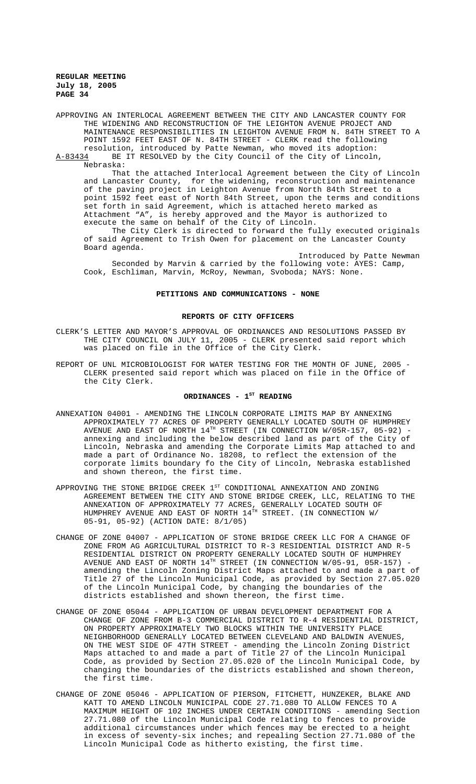APPROVING AN INTERLOCAL AGREEMENT BETWEEN THE CITY AND LANCASTER COUNTY FOR THE WIDENING AND RECONSTRUCTION OF THE LEIGHTON AVENUE PROJECT AND MAINTENANCE RESPONSIBILITIES IN LEIGHTON AVENUE FROM N. 84TH STREET TO A POINT 1592 FEET EAST OF N. 84TH STREET - CLERK read the following

resolution, introduced by Patte Newman, who moved its adoption:<br>A-83434 BE IT RESOLVED by the City Council of the City of Lincoln BE IT RESOLVED by the City Council of the City of Lincoln, Nebraska:

That the attached Interlocal Agreement between the City of Lincoln and Lancaster County, for the widening, reconstruction and maintenance of the paving project in Leighton Avenue from North 84th Street to a point 1592 feet east of North 84th Street, upon the terms and conditions set forth in said Agreement, which is attached hereto marked as Attachment "A", is hereby approved and the Mayor is authorized to execute the same on behalf of the City of Lincoln.

The City Clerk is directed to forward the fully executed originals of said Agreement to Trish Owen for placement on the Lancaster County Board agenda.

Introduced by Patte Newman Seconded by Marvin & carried by the following vote: AYES: Camp, Cook, Eschliman, Marvin, McRoy, Newman, Svoboda; NAYS: None.

#### **PETITIONS AND COMMUNICATIONS - NONE**

## **REPORTS OF CITY OFFICERS**

- CLERK'S LETTER AND MAYOR'S APPROVAL OF ORDINANCES AND RESOLUTIONS PASSED BY THE CITY COUNCIL ON JULY 11, 2005 - CLERK presented said report which was placed on file in the Office of the City Clerk.
- REPORT OF UNL MICROBIOLOGIST FOR WATER TESTING FOR THE MONTH OF JUNE, 2005 -CLERK presented said report which was placed on file in the Office of the City Clerk.

## ORDINANCES - 1<sup>ST</sup> READING

- ANNEXATION 04001 AMENDING THE LINCOLN CORPORATE LIMITS MAP BY ANNEXING APPROXIMATELY 77 ACRES OF PROPERTY GENERALLY LOCATED SOUTH OF HUMPHREY AVENUE AND EAST OF NORTH  $14^{TH}$  STREET (IN CONNECTION W/05R-157, 05-92) annexing and including the below described land as part of the City of Lincoln, Nebraska and amending the Corporate Limits Map attached to and made a part of Ordinance No. 18208, to reflect the extension of the corporate limits boundary fo the City of Lincoln, Nebraska established and shown thereon, the first time.
- APPROVING THE STONE BRIDGE CREEK  $1^{ST}$  CONDITIONAL ANNEXATION AND ZONING AGREEMENT BETWEEN THE CITY AND STONE BRIDGE CREEK, LLC, RELATING TO THE ANNEXATION OF APPROXIMATELY 77 ACRES, GENERALLY LOCATED SOUTH OF HUMPHREY AVENUE AND EAST OF NORTH  $14^{TH}$  STREET. (IN CONNECTION W/ 05-91, 05-92) (ACTION DATE: 8/1/05)
- CHANGE OF ZONE 04007 APPLICATION OF STONE BRIDGE CREEK LLC FOR A CHANGE OF ZONE FROM AG AGRICULTURAL DISTRICT TO R-3 RESIDENTIAL DISTRICT AND R-5 RESIDENTIAL DISTRICT ON PROPERTY GENERALLY LOCATED SOUTH OF HUMPHREY AVENUE AND EAST OF NORTH  $14^{TH}$  STREET (IN CONNECTION W/05-91, 05R-157) amending the Lincoln Zoning District Maps attached to and made a part of Title 27 of the Lincoln Municipal Code, as provided by Section 27.05.020 of the Lincoln Municipal Code, by changing the boundaries of the districts established and shown thereon, the first time.
- CHANGE OF ZONE 05044 APPLICATION OF URBAN DEVELOPMENT DEPARTMENT FOR A CHANGE OF ZONE FROM B-3 COMMERCIAL DISTRICT TO R-4 RESIDENTIAL DISTRICT, ON PROPERTY APPROXIMATELY TWO BLOCKS WITHIN THE UNIVERSITY PLACE NEIGHBORHOOD GENERALLY LOCATED BETWEEN CLEVELAND AND BALDWIN AVENUES, ON THE WEST SIDE OF 47TH STREET - amending the Lincoln Zoning District Maps attached to and made a part of Title 27 of the Lincoln Municipal Code, as provided by Section 27.05.020 of the Lincoln Municipal Code, by changing the boundaries of the districts established and shown thereon, the first time.
- CHANGE OF ZONE 05046 APPLICATION OF PIERSON, FITCHETT, HUNZEKER, BLAKE AND KATT TO AMEND LINCOLN MUNICIPAL CODE 27.71.080 TO ALLOW FENCES TO A MAXIMUM HEIGHT OF 102 INCHES UNDER CERTAIN CONDITIONS - amending Section 27.71.080 of the Lincoln Municipal Code relating to fences to provide additional circumstances under which fences may be erected to a height in excess of seventy-six inches; and repealing Section 27.71.080 of the Lincoln Municipal Code as hitherto existing, the first time.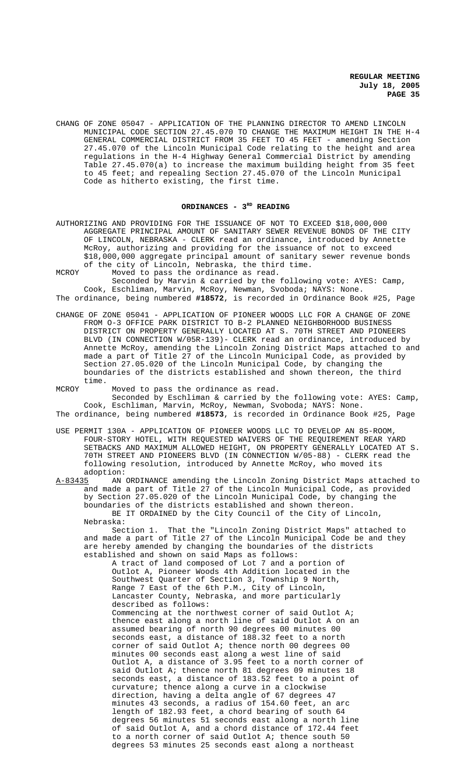CHANG OF ZONE 05047 - APPLICATION OF THE PLANNING DIRECTOR TO AMEND LINCOLN MUNICIPAL CODE SECTION 27.45.070 TO CHANGE THE MAXIMUM HEIGHT IN THE H-4 GENERAL COMMERCIAL DISTRICT FROM 35 FEET TO 45 FEET - amending Section 27.45.070 of the Lincoln Municipal Code relating to the height and area regulations in the H-4 Highway General Commercial District by amending Table 27.45.070(a) to increase the maximum building height from 35 feet to 45 feet; and repealing Section 27.45.070 of the Lincoln Municipal Code as hitherto existing, the first time.

#### ORDINANCES - 3<sup>RD</sup> READING

AUTHORIZING AND PROVIDING FOR THE ISSUANCE OF NOT TO EXCEED \$18,000,000 AGGREGATE PRINCIPAL AMOUNT OF SANITARY SEWER REVENUE BONDS OF THE CITY OF LINCOLN, NEBRASKA - CLERK read an ordinance, introduced by Annette McRoy, authorizing and providing for the issuance of not to exceed \$18,000,000 aggregate principal amount of sanitary sewer revenue bonds of the city of Lincoln, Nebraska, the third time.

MCROY Moved to pass the ordinance as read. Seconded by Marvin & carried by the following vote: AYES: Camp, Cook, Eschliman, Marvin, McRoy, Newman, Svoboda; NAYS: None. The ordinance, being numbered **#18572**, is recorded in Ordinance Book #25, Page

- CHANGE OF ZONE 05041 APPLICATION OF PIONEER WOODS LLC FOR A CHANGE OF ZONE FROM O-3 OFFICE PARK DISTRICT TO B-2 PLANNED NEIGHBORHOOD BUSINESS DISTRICT ON PROPERTY GENERALLY LOCATED AT S. 70TH STREET AND PIONEERS BLVD (IN CONNECTION W/05R-139)- CLERK read an ordinance, introduced by Annette McRoy, amending the Lincoln Zoning District Maps attached to and made a part of Title 27 of the Lincoln Municipal Code, as provided by Section 27.05.020 of the Lincoln Municipal Code, by changing the boundaries of the districts established and shown thereon, the third time.
- MCROY Moved to pass the ordinance as read.

Seconded by Eschliman & carried by the following vote: AYES: Camp, Cook, Eschliman, Marvin, McRoy, Newman, Svoboda; NAYS: None.

- The ordinance, being numbered **#18573**, is recorded in Ordinance Book #25, Page
- USE PERMIT 130A APPLICATION OF PIONEER WOODS LLC TO DEVELOP AN 85-ROOM, FOUR-STORY HOTEL, WITH REQUESTED WAIVERS OF THE REQUIREMENT REAR YARD SETBACKS AND MAXIMUM ALLOWED HEIGHT, ON PROPERTY GENERALLY LOCATED AT S. 70TH STREET AND PIONEERS BLVD (IN CONNECTION W/05-88) - CLERK read the following resolution, introduced by Annette McRoy, who moved its

adoption:<br><u>A-83435</u> AN AN ORDINANCE amending the Lincoln Zoning District Maps attached to and made a part of Title 27 of the Lincoln Municipal Code, as provided by Section 27.05.020 of the Lincoln Municipal Code, by changing the boundaries of the districts established and shown thereon. BE IT ORDAINED by the City Council of the City of Lincoln, Nebraska:

Section 1. That the "Lincoln Zoning District Maps" attached to and made a part of Title 27 of the Lincoln Municipal Code be and they are hereby amended by changing the boundaries of the districts established and shown on said Maps as follows:

A tract of land composed of Lot 7 and a portion of Outlot A, Pioneer Woods 4th Addition located in the Southwest Quarter of Section 3, Township 9 North, Range 7 East of the 6th P.M., City of Lincoln, Lancaster County, Nebraska, and more particularly described as follows: Commencing at the northwest corner of said Outlot A; thence east along a north line of said Outlot A on an assumed bearing of north 90 degrees 00 minutes 00 seconds east, a distance of 188.32 feet to a north corner of said Outlot A; thence north 00 degrees 00 minutes 00 seconds east along a west line of said Outlot A, a distance of 3.95 feet to a north corner of said Outlot A; thence north 81 degrees 09 minutes 18 seconds east, a distance of 183.52 feet to a point of curvature; thence along a curve in a clockwise direction, having a delta angle of 67 degrees 47 minutes 43 seconds, a radius of 154.60 feet, an arc length of 182.93 feet, a chord bearing of south 64 degrees 56 minutes 51 seconds east along a north line of said Outlot A, and a chord distance of 172.44 feet to a north corner of said Outlot A; thence south 50 degrees 53 minutes 25 seconds east along a northeast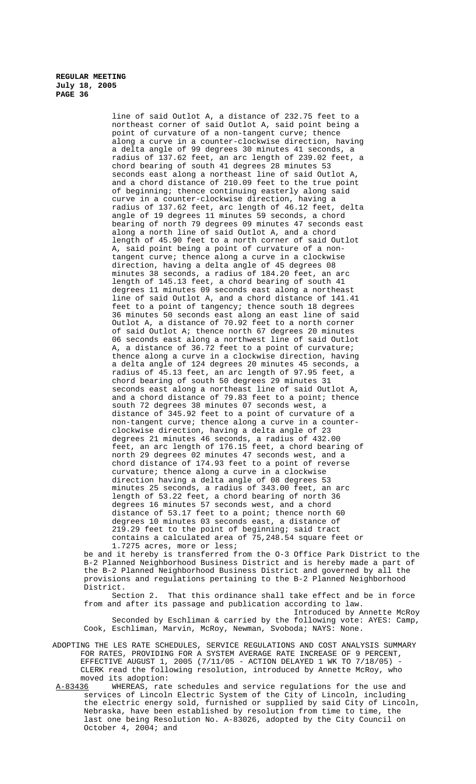line of said Outlot A, a distance of 232.75 feet to a northeast corner of said Outlot A, said point being a point of curvature of a non-tangent curve; thence along a curve in a counter-clockwise direction, having a delta angle of 99 degrees 30 minutes 41 seconds, a radius of 137.62 feet, an arc length of 239.02 feet, a chord bearing of south 41 degrees 28 minutes 53 seconds east along a northeast line of said Outlot A, and a chord distance of 210.09 feet to the true point of beginning; thence continuing easterly along said curve in a counter-clockwise direction, having a radius of 137.62 feet, arc length of 46.12 feet, delta angle of 19 degrees 11 minutes 59 seconds, a chord bearing of north 79 degrees 09 minutes 47 seconds east along a north line of said Outlot A, and a chord length of 45.90 feet to a north corner of said Outlot A, said point being a point of curvature of a nontangent curve; thence along a curve in a clockwise direction, having a delta angle of 45 degrees 08 minutes 38 seconds, a radius of 184.20 feet, an arc length of 145.13 feet, a chord bearing of south 41 degrees 11 minutes 09 seconds east along a northeast line of said Outlot A, and a chord distance of 141.41 feet to a point of tangency; thence south 18 degrees 36 minutes 50 seconds east along an east line of said Outlot A, a distance of 70.92 feet to a north corner of said Outlot A; thence north 67 degrees 20 minutes 06 seconds east along a northwest line of said Outlot A, a distance of 36.72 feet to a point of curvature; thence along a curve in a clockwise direction, having a delta angle of 124 degrees 20 minutes 45 seconds, a radius of 45.13 feet, an arc length of 97.95 feet, a chord bearing of south 50 degrees 29 minutes 31 seconds east along a northeast line of said Outlot A, and a chord distance of 79.83 feet to a point; thence south 72 degrees 38 minutes 07 seconds west, a distance of 345.92 feet to a point of curvature of a non-tangent curve; thence along a curve in a counterclockwise direction, having a delta angle of 23 degrees 21 minutes 46 seconds, a radius of 432.00 feet, an arc length of 176.15 feet, a chord bearing of north 29 degrees 02 minutes 47 seconds west, and a chord distance of 174.93 feet to a point of reverse curvature; thence along a curve in a clockwise direction having a delta angle of 08 degrees 53 minutes 25 seconds, a radius of 343.00 feet, an arc length of 53.22 feet, a chord bearing of north 36 degrees 16 minutes 57 seconds west, and a chord distance of 53.17 feet to a point; thence north 60 degrees 10 minutes 03 seconds east, a distance of 219.29 feet to the point of beginning; said tract contains a calculated area of 75,248.54 square feet or 1.7275 acres, more or less;

be and it hereby is transferred from the O-3 Office Park District to the B-2 Planned Neighborhood Business District and is hereby made a part of the B-2 Planned Neighborhood Business District and governed by all the provisions and regulations pertaining to the B-2 Planned Neighborhood District.<br>Section 2.

That this ordinance shall take effect and be in force from and after its passage and publication according to law. Introduced by Annette McRoy

Seconded by Eschliman & carried by the following vote: AYES: Camp, Cook, Eschliman, Marvin, McRoy, Newman, Svoboda; NAYS: None.

- ADOPTING THE LES RATE SCHEDULES, SERVICE REGULATIONS AND COST ANALYSIS SUMMARY FOR RATES, PROVIDING FOR A SYSTEM AVERAGE RATE INCREASE OF 9 PERCENT, EFFECTIVE AUGUST 1, 2005 (7/11/05 - ACTION DELAYED 1 WK TO 7/18/05) - CLERK read the following resolution, introduced by Annette McRoy, who moved its adoption:<br>A-83436 WHEREAS, rate
- WHEREAS, rate schedules and service regulations for the use and services of Lincoln Electric System of the City of Lincoln, including the electric energy sold, furnished or supplied by said City of Lincoln, Nebraska, have been established by resolution from time to time, the last one being Resolution No. A-83026, adopted by the City Council on October 4, 2004; and